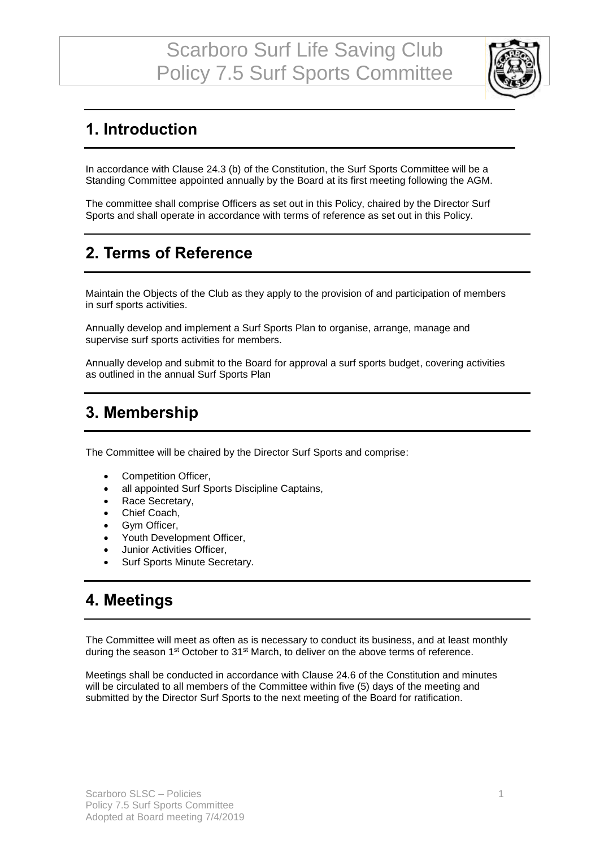

## **1. Introduction**

In accordance with Clause 24.3 (b) of the Constitution, the Surf Sports Committee will be a Standing Committee appointed annually by the Board at its first meeting following the AGM.

The committee shall comprise Officers as set out in this Policy, chaired by the Director Surf Sports and shall operate in accordance with terms of reference as set out in this Policy.

## **2. Terms of Reference**

Maintain the Objects of the Club as they apply to the provision of and participation of members in surf sports activities.

Annually develop and implement a Surf Sports Plan to organise, arrange, manage and supervise surf sports activities for members.

Annually develop and submit to the Board for approval a surf sports budget, covering activities as outlined in the annual Surf Sports Plan

#### **3. Membership**

The Committee will be chaired by the Director Surf Sports and comprise:

- Competition Officer,
- all appointed Surf Sports Discipline Captains,
- Race Secretary,
- Chief Coach,
- Gym Officer,
- Youth Development Officer,
- Junior Activities Officer,
- Surf Sports Minute Secretary.

### **4. Meetings**

The Committee will meet as often as is necessary to conduct its business, and at least monthly during the season 1<sup>st</sup> October to 31<sup>st</sup> March, to deliver on the above terms of reference.

Meetings shall be conducted in accordance with Clause 24.6 of the Constitution and minutes will be circulated to all members of the Committee within five (5) days of the meeting and submitted by the Director Surf Sports to the next meeting of the Board for ratification.